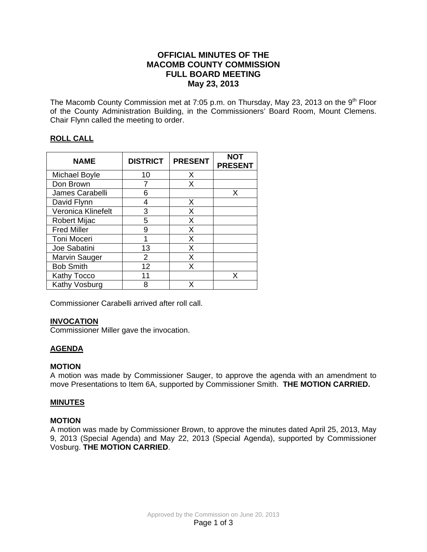# **OFFICIAL MINUTES OF THE MACOMB COUNTY COMMISSION FULL BOARD MEETING May 23, 2013**

The Macomb County Commission met at 7:05 p.m. on Thursday, May 23, 2013 on the 9<sup>th</sup> Floor of the County Administration Building, in the Commissioners' Board Room, Mount Clemens. Chair Flynn called the meeting to order.

# **ROLL CALL**

| <b>NAME</b>         | <b>DISTRICT</b> | <b>PRESENT</b> | NOT<br><b>PRESENT</b> |
|---------------------|-----------------|----------------|-----------------------|
| Michael Boyle       | 10              | X              |                       |
| Don Brown           |                 | X              |                       |
| James Carabelli     | 6               |                | X                     |
| David Flynn         | 4               | X              |                       |
| Veronica Klinefelt  | 3               | X              |                       |
| <b>Robert Mijac</b> | 5               | X              |                       |
| <b>Fred Miller</b>  | 9               | X              |                       |
| Toni Moceri         | 1               | X              |                       |
| Joe Sabatini        | 13              | X              |                       |
| Marvin Sauger       | $\overline{2}$  | X              |                       |
| <b>Bob Smith</b>    | 12              | X              |                       |
| Kathy Tocco         | 11              |                | x                     |
| Kathy Vosburg       | 8               |                |                       |

Commissioner Carabelli arrived after roll call.

## **INVOCATION**

Commissioner Miller gave the invocation.

# **AGENDA**

## **MOTION**

A motion was made by Commissioner Sauger, to approve the agenda with an amendment to move Presentations to Item 6A, supported by Commissioner Smith. **THE MOTION CARRIED.**

## **MINUTES**

## **MOTION**

A motion was made by Commissioner Brown, to approve the minutes dated April 25, 2013, May 9, 2013 (Special Agenda) and May 22, 2013 (Special Agenda), supported by Commissioner Vosburg. **THE MOTION CARRIED**.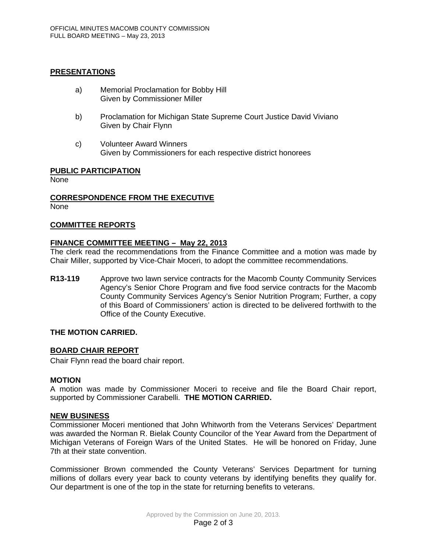### **PRESENTATIONS**

- a) Memorial Proclamation for Bobby Hill Given by Commissioner Miller
- b) Proclamation for Michigan State Supreme Court Justice David Viviano Given by Chair Flynn
- c) Volunteer Award Winners Given by Commissioners for each respective district honorees

### **PUBLIC PARTICIPATION**

None

# **CORRESPONDENCE FROM THE EXECUTIVE**

None

### **COMMITTEE REPORTS**

### **FINANCE COMMITTEE MEETING – May 22, 2013**

The clerk read the recommendations from the Finance Committee and a motion was made by Chair Miller, supported by Vice-Chair Moceri, to adopt the committee recommendations.

**R13-119** Approve two lawn service contracts for the Macomb County Community Services Agency's Senior Chore Program and five food service contracts for the Macomb County Community Services Agency's Senior Nutrition Program; Further, a copy of this Board of Commissioners' action is directed to be delivered forthwith to the Office of the County Executive.

#### **THE MOTION CARRIED.**

#### **BOARD CHAIR REPORT**

Chair Flynn read the board chair report.

#### **MOTION**

A motion was made by Commissioner Moceri to receive and file the Board Chair report, supported by Commissioner Carabelli. **THE MOTION CARRIED.**

#### **NEW BUSINESS**

Commissioner Moceri mentioned that John Whitworth from the Veterans Services' Department was awarded the Norman R. Bielak County Councilor of the Year Award from the Department of Michigan Veterans of Foreign Wars of the United States. He will be honored on Friday, June 7th at their state convention.

Commissioner Brown commended the County Veterans' Services Department for turning millions of dollars every year back to county veterans by identifying benefits they qualify for. Our department is one of the top in the state for returning benefits to veterans.